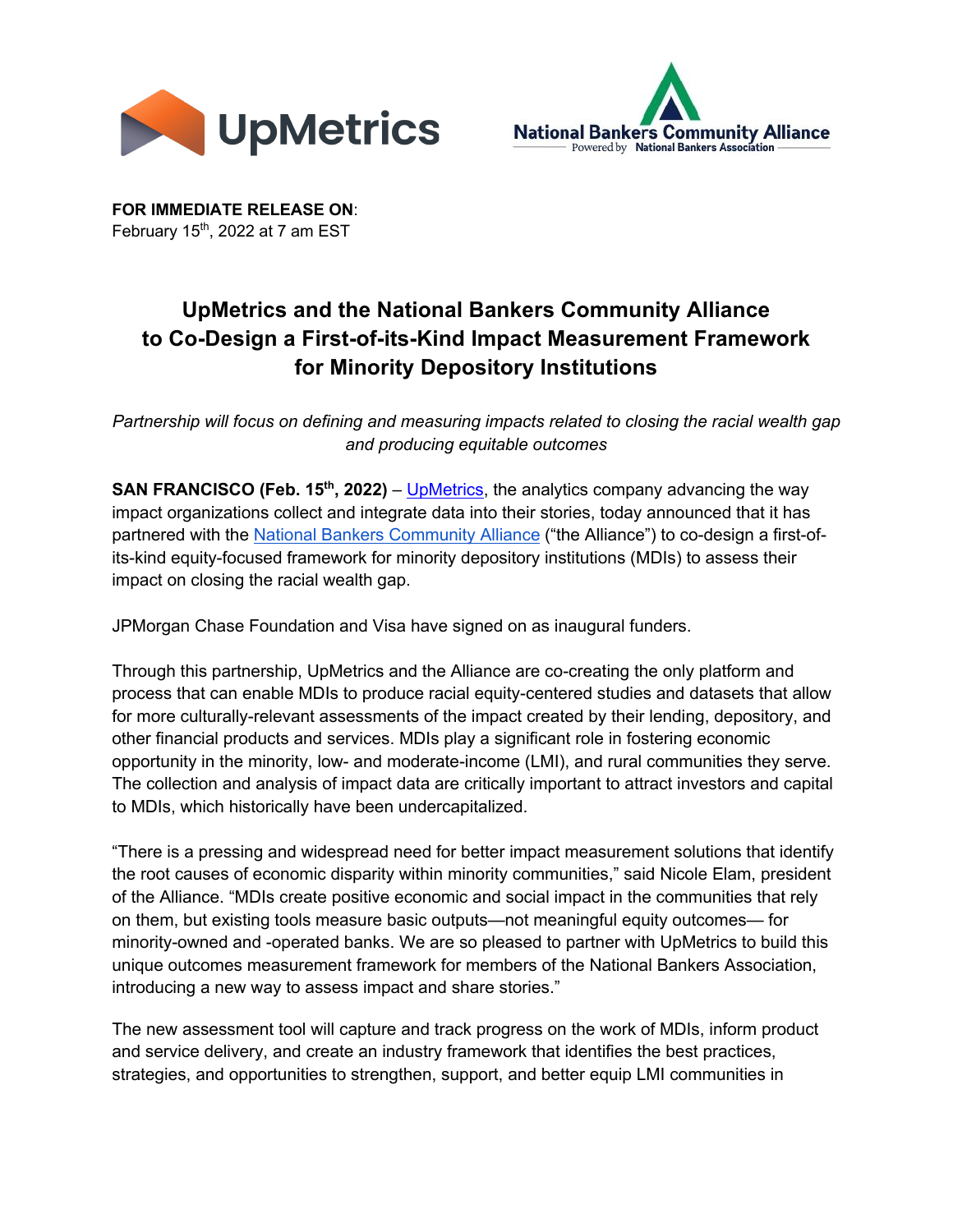



**FOR IMMEDIATE RELEASE ON**: February 15<sup>th</sup>, 2022 at 7 am EST

## **UpMetrics and the National Bankers Community Alliance to Co-Design a First-of-its-Kind Impact Measurement Framework for Minority Depository Institutions**

*Partnership will focus on defining and measuring impacts related to closing the racial wealth gap and producing equitable outcomes*

**SAN FRANCISCO (Feb. 15<sup>th</sup>, 2022)** – UpMetrics, the analytics company advancing the way impact organizations collect and integrate data into their stories, today announced that it has partnered with the National Bankers Community Alliance ("the Alliance") to co-design a first-ofits-kind equity-focused framework for minority depository institutions (MDIs) to assess their impact on closing the racial wealth gap.

JPMorgan Chase Foundation and Visa have signed on as inaugural funders.

Through this partnership, UpMetrics and the Alliance are co-creating the only platform and process that can enable MDIs to produce racial equity-centered studies and datasets that allow for more culturally-relevant assessments of the impact created by their lending, depository, and other financial products and services. MDIs play a significant role in fostering economic opportunity in the minority, low- and moderate-income (LMI), and rural communities they serve. The collection and analysis of impact data are critically important to attract investors and capital to MDIs, which historically have been undercapitalized.

"There is a pressing and widespread need for better impact measurement solutions that identify the root causes of economic disparity within minority communities," said Nicole Elam, president of the Alliance. "MDIs create positive economic and social impact in the communities that rely on them, but existing tools measure basic outputs—not meaningful equity outcomes— for minority-owned and -operated banks. We are so pleased to partner with UpMetrics to build this unique outcomes measurement framework for members of the National Bankers Association, introducing a new way to assess impact and share stories."

The new assessment tool will capture and track progress on the work of MDIs, inform product and service delivery, and create an industry framework that identifies the best practices, strategies, and opportunities to strengthen, support, and better equip LMI communities in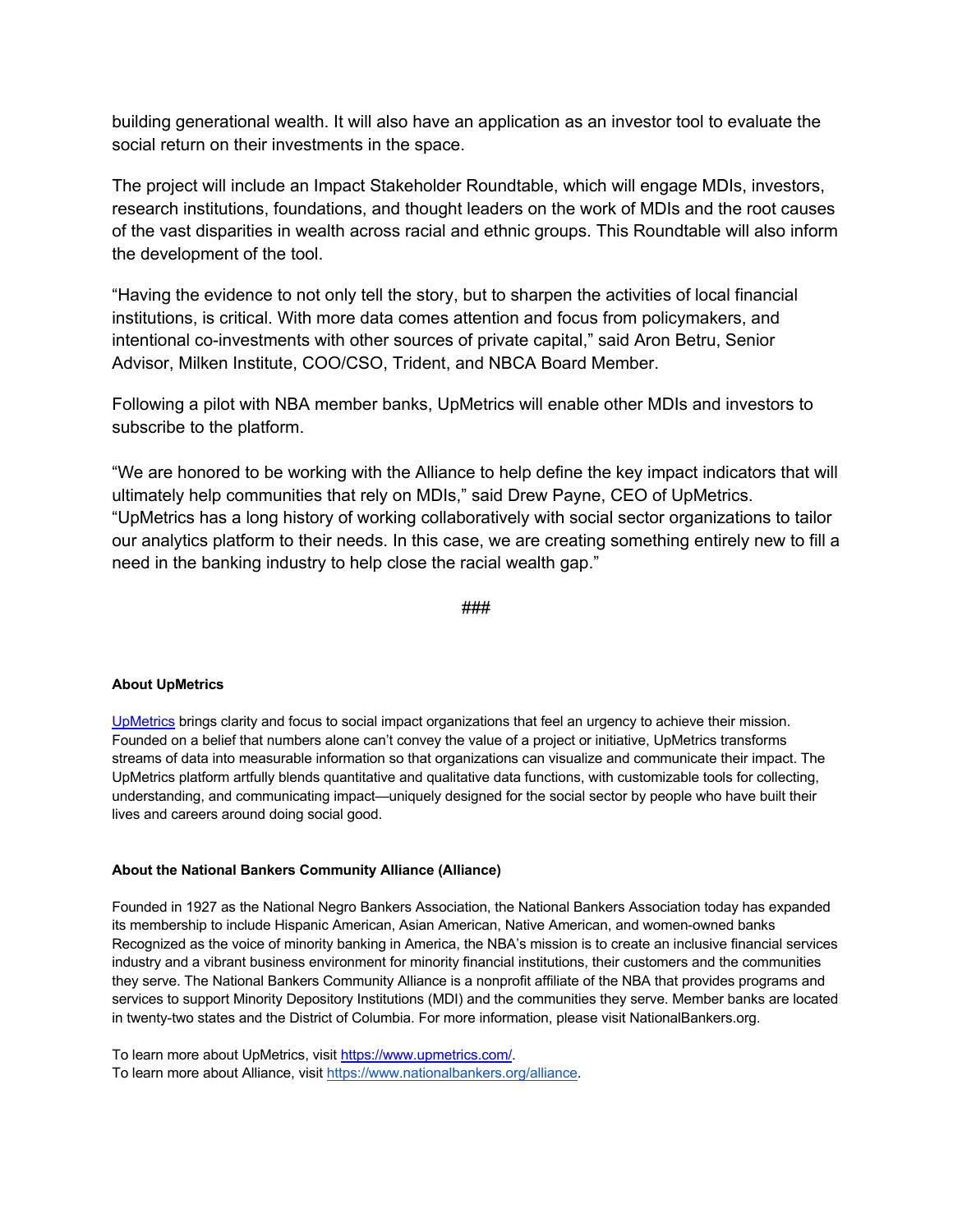building generational wealth. It will also have an application as an investor tool to evaluate the social return on their investments in the space.

The project will include an Impact Stakeholder Roundtable, which will engage MDIs, investors, research institutions, foundations, and thought leaders on the work of MDIs and the root causes of the vast disparities in wealth across racial and ethnic groups. This Roundtable will also inform the development of the tool.

"Having the evidence to not only tell the story, but to sharpen the activities of local financial institutions, is critical. With more data comes attention and focus from policymakers, and intentional co-investments with other sources of private capital," said Aron Betru, Senior Advisor, Milken Institute, COO/CSO, Trident, and NBCA Board Member.

Following a pilot with NBA member banks, UpMetrics will enable other MDIs and investors to subscribe to the platform.

"We are honored to be working with the Alliance to help define the key impact indicators that will ultimately help communities that rely on MDIs," said Drew Payne, CEO of UpMetrics. "UpMetrics has a long history of working collaboratively with social sector organizations to tailor our analytics platform to their needs. In this case, we are creating something entirely new to fill a need in the banking industry to help close the racial wealth gap."

###

## **About UpMetrics**

UpMetrics brings clarity and focus to social impact organizations that feel an urgency to achieve their mission. Founded on a belief that numbers alone can't convey the value of a project or initiative, UpMetrics transforms streams of data into measurable information so that organizations can visualize and communicate their impact. The UpMetrics platform artfully blends quantitative and qualitative data functions, with customizable tools for collecting, understanding, and communicating impact—uniquely designed for the social sector by people who have built their lives and careers around doing social good.

## **About the National Bankers Community Alliance (Alliance)**

Founded in 1927 as the National Negro Bankers Association, the National Bankers Association today has expanded its membership to include Hispanic American, Asian American, Native American, and women-owned banks Recognized as the voice of minority banking in America, the NBA's mission is to create an inclusive financial services industry and a vibrant business environment for minority financial institutions, their customers and the communities they serve. The National Bankers Community Alliance is a nonprofit affiliate of the NBA that provides programs and services to support Minority Depository Institutions (MDI) and the communities they serve. Member banks are located in twenty-two states and the District of Columbia. For more information, please visit NationalBankers.org.

To learn more about UpMetrics, visit https://www.upmetrics.com/. To learn more about Alliance, visit https://www.nationalbankers.org/alliance.